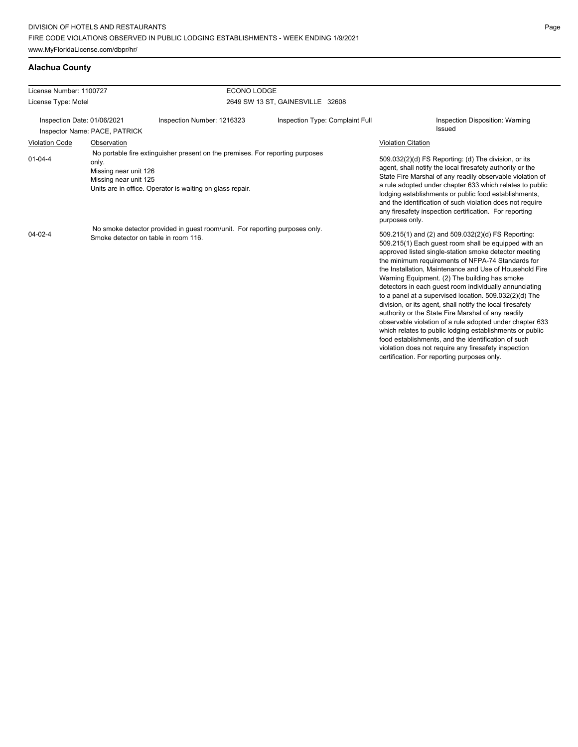### **Alachua County**

| License Number: 1100727     |                                                         | <b>ECONO LODGE</b>                                                                                                                         |                                  |                           |                                                                                                                                                                                                                                                                                                                                                                                                                                                                                                                                                                                                                                                                                                                                                                                                                                                                   |
|-----------------------------|---------------------------------------------------------|--------------------------------------------------------------------------------------------------------------------------------------------|----------------------------------|---------------------------|-------------------------------------------------------------------------------------------------------------------------------------------------------------------------------------------------------------------------------------------------------------------------------------------------------------------------------------------------------------------------------------------------------------------------------------------------------------------------------------------------------------------------------------------------------------------------------------------------------------------------------------------------------------------------------------------------------------------------------------------------------------------------------------------------------------------------------------------------------------------|
| License Type: Motel         |                                                         |                                                                                                                                            | 2649 SW 13 ST, GAINESVILLE 32608 |                           |                                                                                                                                                                                                                                                                                                                                                                                                                                                                                                                                                                                                                                                                                                                                                                                                                                                                   |
| Inspection Date: 01/06/2021 |                                                         | Inspection Number: 1216323                                                                                                                 | Inspection Type: Complaint Full  |                           | Inspection Disposition: Warning<br><b>Issued</b>                                                                                                                                                                                                                                                                                                                                                                                                                                                                                                                                                                                                                                                                                                                                                                                                                  |
|                             | Inspector Name: PACE, PATRICK                           |                                                                                                                                            |                                  |                           |                                                                                                                                                                                                                                                                                                                                                                                                                                                                                                                                                                                                                                                                                                                                                                                                                                                                   |
| <b>Violation Code</b>       | Observation                                             |                                                                                                                                            |                                  | <b>Violation Citation</b> |                                                                                                                                                                                                                                                                                                                                                                                                                                                                                                                                                                                                                                                                                                                                                                                                                                                                   |
| $01 - 04 - 4$               | only.<br>Missing near unit 126<br>Missing near unit 125 | No portable fire extinguisher present on the premises. For reporting purposes<br>Units are in office. Operator is waiting on glass repair. |                                  | purposes only.            | 509.032(2)(d) FS Reporting: (d) The division, or its<br>agent, shall notify the local firesafety authority or the<br>State Fire Marshal of any readily observable violation of<br>a rule adopted under chapter 633 which relates to public<br>lodging establishments or public food establishments,<br>and the identification of such violation does not require<br>any firesafety inspection certification. For reporting                                                                                                                                                                                                                                                                                                                                                                                                                                        |
| $04 - 02 - 4$               | Smoke detector on table in room 116.                    | No smoke detector provided in guest room/unit. For reporting purposes only.                                                                |                                  |                           | 509.215(1) and (2) and 509.032(2)(d) FS Reporting:<br>509.215(1) Each quest room shall be equipped with an<br>approved listed single-station smoke detector meeting<br>the minimum requirements of NFPA-74 Standards for<br>the Installation, Maintenance and Use of Household Fire<br>Warning Equipment. (2) The building has smoke<br>detectors in each quest room individually annunciating<br>to a panel at a supervised location. 509.032(2)(d) The<br>division, or its agent, shall notify the local firesafety<br>authority or the State Fire Marshal of any readily<br>observable violation of a rule adopted under chapter 633<br>which relates to public lodging establishments or public<br>food establishments, and the identification of such<br>violation does not require any firesafety inspection<br>certification. For reporting purposes only. |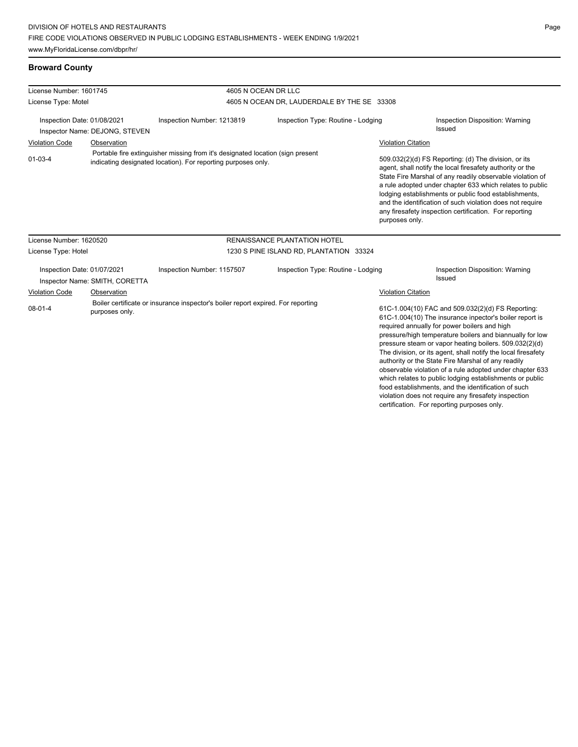### **Broward County**

| License Number: 1601745     |                                |                                                                                                                                                 | 4605 N OCEAN DR LLC                         |                           |                                                                                                                                                                                                                                                                                                                                                                                                                                                                       |  |  |
|-----------------------------|--------------------------------|-------------------------------------------------------------------------------------------------------------------------------------------------|---------------------------------------------|---------------------------|-----------------------------------------------------------------------------------------------------------------------------------------------------------------------------------------------------------------------------------------------------------------------------------------------------------------------------------------------------------------------------------------------------------------------------------------------------------------------|--|--|
| License Type: Motel         |                                |                                                                                                                                                 | 4605 N OCEAN DR, LAUDERDALE BY THE SE 33308 |                           |                                                                                                                                                                                                                                                                                                                                                                                                                                                                       |  |  |
| Inspection Date: 01/08/2021 | Inspector Name: DEJONG, STEVEN | Inspection Number: 1213819                                                                                                                      | Inspection Type: Routine - Lodging          |                           | Inspection Disposition: Warning<br><b>Issued</b>                                                                                                                                                                                                                                                                                                                                                                                                                      |  |  |
| <b>Violation Code</b>       | Observation                    |                                                                                                                                                 |                                             | <b>Violation Citation</b> |                                                                                                                                                                                                                                                                                                                                                                                                                                                                       |  |  |
| $01 - 03 - 4$               |                                | Portable fire extinguisher missing from it's designated location (sign present<br>indicating designated location). For reporting purposes only. |                                             | purposes only.            | 509.032(2)(d) FS Reporting: (d) The division, or its<br>agent, shall notify the local firesafety authority or the<br>State Fire Marshal of any readily observable violation of<br>a rule adopted under chapter 633 which relates to public<br>lodging establishments or public food establishments,<br>and the identification of such violation does not require<br>any firesafety inspection certification. For reporting                                            |  |  |
| License Number: 1620520     |                                |                                                                                                                                                 | <b>RENAISSANCE PLANTATION HOTEL</b>         |                           |                                                                                                                                                                                                                                                                                                                                                                                                                                                                       |  |  |
| License Type: Hotel         |                                |                                                                                                                                                 | 1230 S PINE ISLAND RD, PLANTATION 33324     |                           |                                                                                                                                                                                                                                                                                                                                                                                                                                                                       |  |  |
| Inspection Date: 01/07/2021 | Inspector Name: SMITH, CORETTA | Inspection Number: 1157507                                                                                                                      | Inspection Type: Routine - Lodging          |                           | Inspection Disposition: Warning<br><b>Issued</b>                                                                                                                                                                                                                                                                                                                                                                                                                      |  |  |
| <b>Violation Code</b>       | Observation                    |                                                                                                                                                 |                                             | <b>Violation Citation</b> |                                                                                                                                                                                                                                                                                                                                                                                                                                                                       |  |  |
| $08 - 01 - 4$               | purposes only.                 | Boiler certificate or insurance inspector's boiler report expired. For reporting                                                                |                                             |                           | 61C-1.004(10) FAC and 509.032(2)(d) FS Reporting:<br>61C-1.004(10) The insurance inpector's boiler report is<br>required annually for power boilers and high<br>pressure/high temperature boilers and biannually for low<br>pressure steam or vapor heating boilers. 509.032(2)(d)<br>The division, or its agent, shall notify the local firesafety<br>authority or the State Fire Marshal of any readily<br>observable violation of a rule adopted under chapter 633 |  |  |

which relates to public lodging establishments or public food establishments, and the identification of such violation does not require any firesafety inspection certification. For reporting purposes only.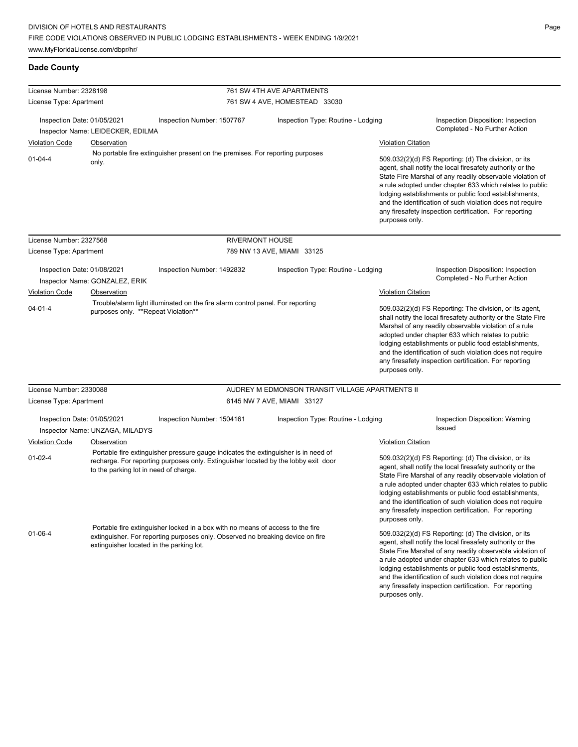| License Number: 2328198                                                                                                                |                                          |                                                                                                                                                                          | 761 SW 4TH AVE APARTMENTS                       |                           |                                                                                                                                                                                                                                                                                                                                                                                                                                          |  |
|----------------------------------------------------------------------------------------------------------------------------------------|------------------------------------------|--------------------------------------------------------------------------------------------------------------------------------------------------------------------------|-------------------------------------------------|---------------------------|------------------------------------------------------------------------------------------------------------------------------------------------------------------------------------------------------------------------------------------------------------------------------------------------------------------------------------------------------------------------------------------------------------------------------------------|--|
| License Type: Apartment                                                                                                                |                                          |                                                                                                                                                                          | 761 SW 4 AVE, HOMESTEAD 33030                   |                           |                                                                                                                                                                                                                                                                                                                                                                                                                                          |  |
|                                                                                                                                        |                                          |                                                                                                                                                                          |                                                 |                           |                                                                                                                                                                                                                                                                                                                                                                                                                                          |  |
| Inspection Date: 01/05/2021                                                                                                            |                                          | Inspection Number: 1507767                                                                                                                                               | Inspection Type: Routine - Lodging              |                           | Inspection Disposition: Inspection                                                                                                                                                                                                                                                                                                                                                                                                       |  |
|                                                                                                                                        | Inspector Name: LEIDECKER, EDILMA        |                                                                                                                                                                          |                                                 |                           | Completed - No Further Action                                                                                                                                                                                                                                                                                                                                                                                                            |  |
| <b>Violation Code</b>                                                                                                                  | Observation                              |                                                                                                                                                                          |                                                 | <b>Violation Citation</b> |                                                                                                                                                                                                                                                                                                                                                                                                                                          |  |
| $01 - 04 - 4$                                                                                                                          | only.                                    | No portable fire extinguisher present on the premises. For reporting purposes                                                                                            |                                                 | purposes only.            | 509.032(2)(d) FS Reporting: (d) The division, or its<br>agent, shall notify the local firesafety authority or the<br>State Fire Marshal of any readily observable violation of<br>a rule adopted under chapter 633 which relates to public<br>lodging establishments or public food establishments,<br>and the identification of such violation does not require<br>any firesafety inspection certification. For reporting               |  |
| License Number: 2327568                                                                                                                |                                          | <b>RIVERMONT HOUSE</b>                                                                                                                                                   |                                                 |                           |                                                                                                                                                                                                                                                                                                                                                                                                                                          |  |
| License Type: Apartment                                                                                                                |                                          |                                                                                                                                                                          | 789 NW 13 AVE, MIAMI 33125                      |                           |                                                                                                                                                                                                                                                                                                                                                                                                                                          |  |
| Inspection Date: 01/08/2021                                                                                                            | Inspector Name: GONZALEZ, ERIK           | Inspection Number: 1492832                                                                                                                                               | Inspection Type: Routine - Lodging              |                           | Inspection Disposition: Inspection<br>Completed - No Further Action                                                                                                                                                                                                                                                                                                                                                                      |  |
| <b>Violation Code</b>                                                                                                                  | Observation                              |                                                                                                                                                                          |                                                 | <b>Violation Citation</b> |                                                                                                                                                                                                                                                                                                                                                                                                                                          |  |
| Trouble/alarm light illuminated on the fire alarm control panel. For reporting<br>$04 - 01 - 4$<br>purposes only. **Repeat Violation** |                                          |                                                                                                                                                                          |                                                 |                           | 509.032(2)(d) FS Reporting: The division, or its agent,<br>shall notify the local firesafety authority or the State Fire<br>Marshal of any readily observable violation of a rule<br>adopted under chapter 633 which relates to public<br>lodging establishments or public food establishments,<br>and the identification of such violation does not require<br>any firesafety inspection certification. For reporting<br>purposes only. |  |
| License Number: 2330088                                                                                                                |                                          |                                                                                                                                                                          | AUDREY M EDMONSON TRANSIT VILLAGE APARTMENTS II |                           |                                                                                                                                                                                                                                                                                                                                                                                                                                          |  |
| License Type: Apartment                                                                                                                |                                          | 6145 NW 7 AVE, MIAMI 33127                                                                                                                                               |                                                 |                           |                                                                                                                                                                                                                                                                                                                                                                                                                                          |  |
| Inspection Date: 01/05/2021                                                                                                            | Inspector Name: UNZAGA, MILADYS          | Inspection Number: 1504161                                                                                                                                               | Inspection Type: Routine - Lodging              |                           | Inspection Disposition: Warning<br>Issued                                                                                                                                                                                                                                                                                                                                                                                                |  |
| <b>Violation Code</b>                                                                                                                  | Observation                              |                                                                                                                                                                          |                                                 | <b>Violation Citation</b> |                                                                                                                                                                                                                                                                                                                                                                                                                                          |  |
| $01 - 02 - 4$                                                                                                                          | to the parking lot in need of charge.    | Portable fire extinguisher pressure gauge indicates the extinguisher is in need of<br>recharge. For reporting purposes only. Extinguisher located by the lobby exit door |                                                 | purposes only.            | 509.032(2)(d) FS Reporting: (d) The division, or its<br>agent, shall notify the local firesafety authority or the<br>State Fire Marshal of any readily observable violation of<br>a rule adopted under chapter 633 which relates to public<br>lodging establishments or public food establishments,<br>and the identification of such violation does not require<br>any firesafety inspection certification. For reporting               |  |
| $01 - 06 - 4$                                                                                                                          | extinguisher located in the parking lot. | Portable fire extinguisher locked in a box with no means of access to the fire<br>extinguisher. For reporting purposes only. Observed no breaking device on fire         |                                                 | purposes only.            | 509.032(2)(d) FS Reporting: (d) The division, or its<br>agent, shall notify the local firesafety authority or the<br>State Fire Marshal of any readily observable violation of<br>a rule adopted under chapter 633 which relates to public<br>lodging establishments or public food establishments,<br>and the identification of such violation does not require<br>any firesafety inspection certification. For reporting               |  |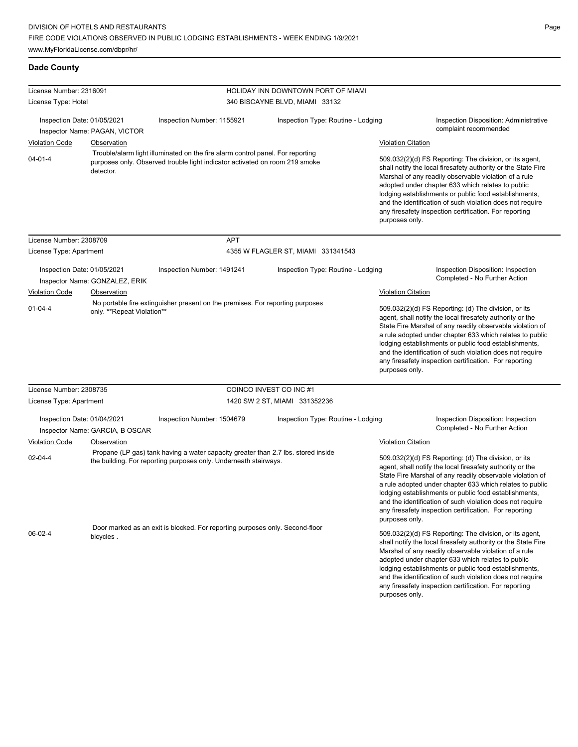| License Number: 2316091                                                                              |                                 |                                                                                                                                                               | HOLIDAY INN DOWNTOWN PORT OF MIAMI |                           |                                                                                                                                                                                                                                                                                                                                                                                                                            |
|------------------------------------------------------------------------------------------------------|---------------------------------|---------------------------------------------------------------------------------------------------------------------------------------------------------------|------------------------------------|---------------------------|----------------------------------------------------------------------------------------------------------------------------------------------------------------------------------------------------------------------------------------------------------------------------------------------------------------------------------------------------------------------------------------------------------------------------|
| License Type: Hotel                                                                                  |                                 |                                                                                                                                                               | 340 BISCAYNE BLVD, MIAMI 33132     |                           |                                                                                                                                                                                                                                                                                                                                                                                                                            |
| Inspection Date: 01/05/2021<br>Inspector Name: PAGAN, VICTOR                                         |                                 | Inspection Number: 1155921                                                                                                                                    | Inspection Type: Routine - Lodging |                           | Inspection Disposition: Administrative<br>complaint recommended                                                                                                                                                                                                                                                                                                                                                            |
| <b>Violation Code</b>                                                                                | <b>Observation</b>              |                                                                                                                                                               |                                    | <b>Violation Citation</b> |                                                                                                                                                                                                                                                                                                                                                                                                                            |
| $04 - 01 - 4$                                                                                        | detector.                       | Trouble/alarm light illuminated on the fire alarm control panel. For reporting<br>purposes only. Observed trouble light indicator activated on room 219 smoke |                                    | purposes only.            | 509.032(2)(d) FS Reporting: The division, or its agent,<br>shall notify the local firesafety authority or the State Fire<br>Marshal of any readily observable violation of a rule<br>adopted under chapter 633 which relates to public<br>lodging establishments or public food establishments,<br>and the identification of such violation does not require<br>any firesafety inspection certification. For reporting     |
| License Number: 2308709                                                                              |                                 | <b>APT</b>                                                                                                                                                    |                                    |                           |                                                                                                                                                                                                                                                                                                                                                                                                                            |
| License Type: Apartment                                                                              |                                 |                                                                                                                                                               | 4355 W FLAGLER ST, MIAMI 331341543 |                           |                                                                                                                                                                                                                                                                                                                                                                                                                            |
| Inspection Date: 01/05/2021                                                                          | Inspector Name: GONZALEZ, ERIK  | Inspection Number: 1491241                                                                                                                                    | Inspection Type: Routine - Lodging |                           | Inspection Disposition: Inspection<br>Completed - No Further Action                                                                                                                                                                                                                                                                                                                                                        |
| <b>Violation Code</b>                                                                                | Observation                     |                                                                                                                                                               |                                    | <b>Violation Citation</b> |                                                                                                                                                                                                                                                                                                                                                                                                                            |
| $01 - 04 - 4$                                                                                        | only. **Repeat Violation**      | No portable fire extinguisher present on the premises. For reporting purposes                                                                                 |                                    | purposes only.            | 509.032(2)(d) FS Reporting: (d) The division, or its<br>agent, shall notify the local firesafety authority or the<br>State Fire Marshal of any readily observable violation of<br>a rule adopted under chapter 633 which relates to public<br>lodging establishments or public food establishments,<br>and the identification of such violation does not require<br>any firesafety inspection certification. For reporting |
| License Number: 2308735                                                                              |                                 |                                                                                                                                                               | COINCO INVEST CO INC#1             |                           |                                                                                                                                                                                                                                                                                                                                                                                                                            |
| License Type: Apartment                                                                              |                                 |                                                                                                                                                               | 1420 SW 2 ST, MIAMI 331352236      |                           |                                                                                                                                                                                                                                                                                                                                                                                                                            |
| Inspection Date: 01/04/2021                                                                          | Inspector Name: GARCIA, B OSCAR | Inspection Number: 1504679                                                                                                                                    | Inspection Type: Routine - Lodging |                           | Inspection Disposition: Inspection<br>Completed - No Further Action                                                                                                                                                                                                                                                                                                                                                        |
| <b>Violation Code</b>                                                                                | Observation                     |                                                                                                                                                               |                                    | <b>Violation Citation</b> |                                                                                                                                                                                                                                                                                                                                                                                                                            |
| $02 - 04 - 4$                                                                                        |                                 | Propane (LP gas) tank having a water capacity greater than 2.7 lbs. stored inside<br>the building. For reporting purposes only. Underneath stairways.         |                                    | purposes only.            | 509.032(2)(d) FS Reporting: (d) The division, or its<br>agent, shall notify the local firesafety authority or the<br>State Fire Marshal of any readily observable violation of<br>a rule adopted under chapter 633 which relates to public<br>lodging establishments or public food establishments,<br>and the identification of such violation does not require<br>any firesafety inspection certification. For reporting |
| Door marked as an exit is blocked. For reporting purposes only. Second-floor<br>06-02-4<br>bicycles. |                                 |                                                                                                                                                               |                                    | purposes only.            | 509.032(2)(d) FS Reporting: The division, or its agent,<br>shall notify the local firesafety authority or the State Fire<br>Marshal of any readily observable violation of a rule<br>adopted under chapter 633 which relates to public<br>lodging establishments or public food establishments,<br>and the identification of such violation does not require<br>any firesafety inspection certification. For reporting     |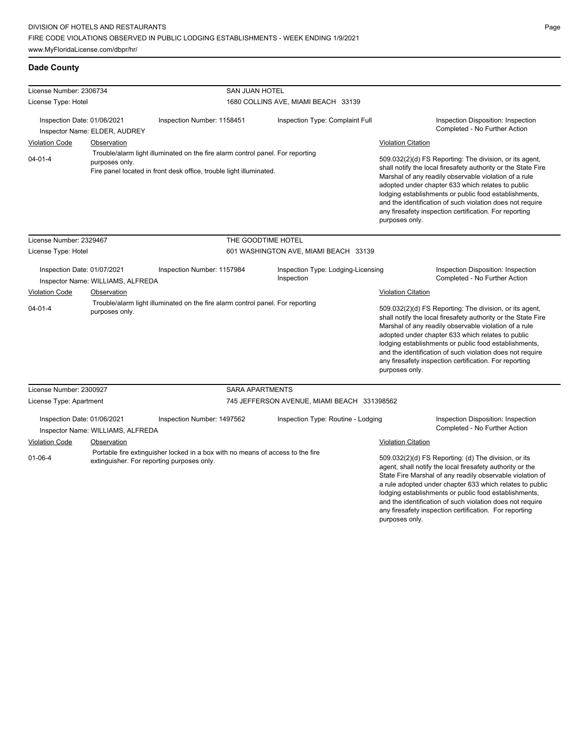| License Number: 2306734                                                                                                                                                                  |                                              | SAN JUAN HOTEL             |                                                  |                                                                                                                                                                                                                                                                                                                                                                                                                                              |                                                                     |
|------------------------------------------------------------------------------------------------------------------------------------------------------------------------------------------|----------------------------------------------|----------------------------|--------------------------------------------------|----------------------------------------------------------------------------------------------------------------------------------------------------------------------------------------------------------------------------------------------------------------------------------------------------------------------------------------------------------------------------------------------------------------------------------------------|---------------------------------------------------------------------|
| License Type: Hotel                                                                                                                                                                      |                                              |                            | 1680 COLLINS AVE, MIAMI BEACH 33139              |                                                                                                                                                                                                                                                                                                                                                                                                                                              |                                                                     |
| Inspection Date: 01/06/2021<br><b>Violation Code</b>                                                                                                                                     | Inspector Name: ELDER, AUDREY<br>Observation | Inspection Number: 1158451 | Inspection Type: Complaint Full                  | <b>Violation Citation</b>                                                                                                                                                                                                                                                                                                                                                                                                                    | Inspection Disposition: Inspection<br>Completed - No Further Action |
| Trouble/alarm light illuminated on the fire alarm control panel. For reporting<br>$04 - 01 - 4$<br>purposes only.<br>Fire panel located in front desk office, trouble light illuminated. |                                              |                            |                                                  | 509.032(2)(d) FS Reporting: The division, or its agent,<br>shall notify the local firesafety authority or the State Fire<br>Marshal of any readily observable violation of a rule<br>adopted under chapter 633 which relates to public<br>lodging establishments or public food establishments,<br>and the identification of such violation does not require<br>any firesafety inspection certification. For reporting<br>purposes only.     |                                                                     |
| License Number: 2329467                                                                                                                                                                  |                                              |                            | THE GOODTIME HOTEL                               |                                                                                                                                                                                                                                                                                                                                                                                                                                              |                                                                     |
| License Type: Hotel                                                                                                                                                                      |                                              |                            | 601 WASHINGTON AVE, MIAMI BEACH 33139            |                                                                                                                                                                                                                                                                                                                                                                                                                                              |                                                                     |
| Inspection Date: 01/07/2021                                                                                                                                                              | Inspector Name: WILLIAMS, ALFREDA            | Inspection Number: 1157984 | Inspection Type: Lodging-Licensing<br>Inspection |                                                                                                                                                                                                                                                                                                                                                                                                                                              | Inspection Disposition: Inspection<br>Completed - No Further Action |
| <b>Violation Code</b>                                                                                                                                                                    | Observation                                  |                            |                                                  | <b>Violation Citation</b>                                                                                                                                                                                                                                                                                                                                                                                                                    |                                                                     |
| Trouble/alarm light illuminated on the fire alarm control panel. For reporting<br>$04 - 01 - 4$<br>purposes only.                                                                        |                                              |                            |                                                  | 509.032(2)(d) FS Reporting: The division, or its agent,<br>shall notify the local firesafety authority or the State Fire<br>Marshal of any readily observable violation of a rule<br>adopted under chapter 633 which relates to public<br>lodging establishments or public food establishments,<br>and the identification of such violation does not require<br>any firesafety inspection certification. For reporting<br>purposes only.     |                                                                     |
| License Number: 2300927                                                                                                                                                                  |                                              |                            | <b>SARA APARTMENTS</b>                           |                                                                                                                                                                                                                                                                                                                                                                                                                                              |                                                                     |
| License Type: Apartment                                                                                                                                                                  |                                              |                            | 745 JEFFERSON AVENUE, MIAMI BEACH 331398562      |                                                                                                                                                                                                                                                                                                                                                                                                                                              |                                                                     |
| Inspection Date: 01/06/2021                                                                                                                                                              | Inspector Name: WILLIAMS, ALFREDA            | Inspection Number: 1497562 | Inspection Type: Routine - Lodging               |                                                                                                                                                                                                                                                                                                                                                                                                                                              | Inspection Disposition: Inspection<br>Completed - No Further Action |
| <b>Violation Code</b>                                                                                                                                                                    | Observation                                  |                            |                                                  | <b>Violation Citation</b>                                                                                                                                                                                                                                                                                                                                                                                                                    |                                                                     |
| Portable fire extinguisher locked in a box with no means of access to the fire<br>$01 - 06 - 4$<br>extinguisher. For reporting purposes only.                                            |                                              |                            |                                                  | 509.032(2)(d) FS Reporting: (d) The division, or its<br>agent, shall notify the local firesafety authority or the<br>State Fire Marshal of any readily observable violation of<br>a rule adopted under chapter 633 which relates to public<br>lodging establishments or public food establishments,<br>and the identification of such violation does not require<br>any firesafety inspection certification. For reporting<br>purposes only. |                                                                     |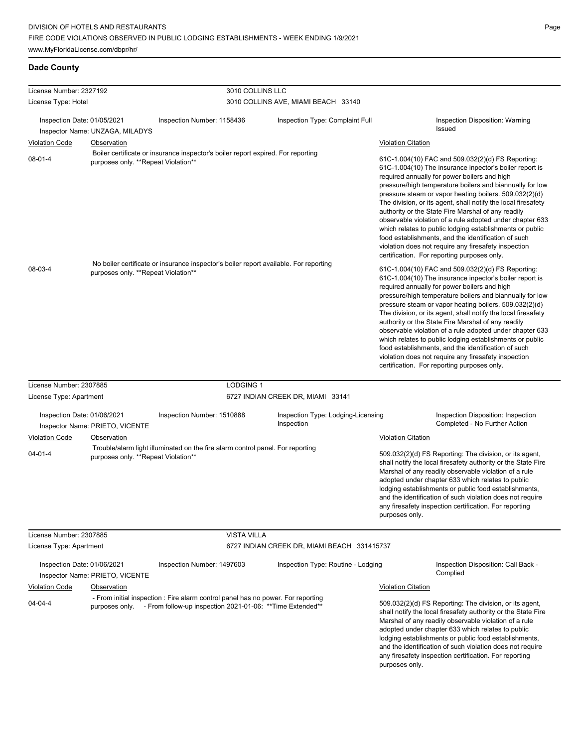| License Number: 2327192                |                                                    | 3010 COLLINS LLC                                                                                                                                             |                                                  |                                                                                                                                                                                                                                                                                                                                                                                                                                                                                                                                                                                                                                                                                                 |
|----------------------------------------|----------------------------------------------------|--------------------------------------------------------------------------------------------------------------------------------------------------------------|--------------------------------------------------|-------------------------------------------------------------------------------------------------------------------------------------------------------------------------------------------------------------------------------------------------------------------------------------------------------------------------------------------------------------------------------------------------------------------------------------------------------------------------------------------------------------------------------------------------------------------------------------------------------------------------------------------------------------------------------------------------|
| License Type: Hotel                    |                                                    |                                                                                                                                                              | 3010 COLLINS AVE, MIAMI BEACH 33140              |                                                                                                                                                                                                                                                                                                                                                                                                                                                                                                                                                                                                                                                                                                 |
| Inspection Date: 01/05/2021            |                                                    | Inspection Number: 1158436                                                                                                                                   | Inspection Type: Complaint Full                  | Inspection Disposition: Warning<br>Issued                                                                                                                                                                                                                                                                                                                                                                                                                                                                                                                                                                                                                                                       |
|                                        | Inspector Name: UNZAGA, MILADYS                    |                                                                                                                                                              |                                                  |                                                                                                                                                                                                                                                                                                                                                                                                                                                                                                                                                                                                                                                                                                 |
| <b>Violation Code</b><br>$08 - 01 - 4$ | Observation<br>purposes only. **Repeat Violation** | Boiler certificate or insurance inspector's boiler report expired. For reporting                                                                             |                                                  | <b>Violation Citation</b><br>61C-1.004(10) FAC and 509.032(2)(d) FS Reporting:                                                                                                                                                                                                                                                                                                                                                                                                                                                                                                                                                                                                                  |
|                                        |                                                    |                                                                                                                                                              |                                                  | 61C-1.004(10) The insurance inpector's boiler report is<br>required annually for power boilers and high<br>pressure/high temperature boilers and biannually for low<br>pressure steam or vapor heating boilers. 509.032(2)(d)<br>The division, or its agent, shall notify the local firesafety<br>authority or the State Fire Marshal of any readily<br>observable violation of a rule adopted under chapter 633<br>which relates to public lodging establishments or public<br>food establishments, and the identification of such<br>violation does not require any firesafety inspection<br>certification. For reporting purposes only.                                                      |
| $08-03-4$                              |                                                    | No boiler certificate or insurance inspector's boiler report available. For reporting<br>purposes only. **Repeat Violation**                                 |                                                  | 61C-1.004(10) FAC and 509.032(2)(d) FS Reporting:<br>61C-1.004(10) The insurance inpector's boiler report is<br>required annually for power boilers and high<br>pressure/high temperature boilers and biannually for low<br>pressure steam or vapor heating boilers. 509.032(2)(d)<br>The division, or its agent, shall notify the local firesafety<br>authority or the State Fire Marshal of any readily<br>observable violation of a rule adopted under chapter 633<br>which relates to public lodging establishments or public<br>food establishments, and the identification of such<br>violation does not require any firesafety inspection<br>certification. For reporting purposes only. |
| License Number: 2307885                |                                                    | <b>LODGING 1</b>                                                                                                                                             |                                                  |                                                                                                                                                                                                                                                                                                                                                                                                                                                                                                                                                                                                                                                                                                 |
| License Type: Apartment                |                                                    |                                                                                                                                                              | 6727 INDIAN CREEK DR, MIAMI 33141                |                                                                                                                                                                                                                                                                                                                                                                                                                                                                                                                                                                                                                                                                                                 |
| Inspection Date: 01/06/2021            | Inspector Name: PRIETO, VICENTE                    | Inspection Number: 1510888                                                                                                                                   | Inspection Type: Lodging-Licensing<br>Inspection | Inspection Disposition: Inspection<br>Completed - No Further Action                                                                                                                                                                                                                                                                                                                                                                                                                                                                                                                                                                                                                             |
| <b>Violation Code</b>                  | Observation                                        |                                                                                                                                                              |                                                  | <b>Violation Citation</b>                                                                                                                                                                                                                                                                                                                                                                                                                                                                                                                                                                                                                                                                       |
| $04 - 01 - 4$                          | purposes only. **Repeat Violation**                | Trouble/alarm light illuminated on the fire alarm control panel. For reporting                                                                               |                                                  | 509.032(2)(d) FS Reporting: The division, or its agent,<br>shall notify the local firesafety authority or the State Fire<br>Marshal of any readily observable violation of a rule<br>adopted under chapter 633 which relates to public<br>lodging establishments or public food establishments,<br>and the identification of such violation does not require<br>any firesafety inspection certification. For reporting<br>purposes only.                                                                                                                                                                                                                                                        |
| License Number: 2307885                |                                                    | <b>VISTA VILLA</b>                                                                                                                                           |                                                  |                                                                                                                                                                                                                                                                                                                                                                                                                                                                                                                                                                                                                                                                                                 |
| License Type: Apartment                |                                                    |                                                                                                                                                              | 6727 INDIAN CREEK DR, MIAMI BEACH 331415737      |                                                                                                                                                                                                                                                                                                                                                                                                                                                                                                                                                                                                                                                                                                 |
| Inspection Date: 01/06/2021            | Inspector Name: PRIETO, VICENTE                    | Inspection Number: 1497603                                                                                                                                   | Inspection Type: Routine - Lodging               | Inspection Disposition: Call Back -<br>Complied                                                                                                                                                                                                                                                                                                                                                                                                                                                                                                                                                                                                                                                 |
| <b>Violation Code</b>                  | Observation                                        |                                                                                                                                                              |                                                  | <b>Violation Citation</b>                                                                                                                                                                                                                                                                                                                                                                                                                                                                                                                                                                                                                                                                       |
| $04 - 04 - 4$                          |                                                    | - From initial inspection : Fire alarm control panel has no power. For reporting<br>purposes only. - From follow-up inspection 2021-01-06: **Time Extended** |                                                  | 509.032(2)(d) FS Reporting: The division, or its agent,<br>shall notify the local firesafety authority or the State Fire<br>Marshal of any readily observable violation of a rule<br>adopted under chapter 633 which relates to public<br>lodging establishments or public food establishments,<br>and the identification of such violation does not require<br>any firesafety inspection certification. For reporting<br>purposes only.                                                                                                                                                                                                                                                        |

 $\overline{\phantom{0}}$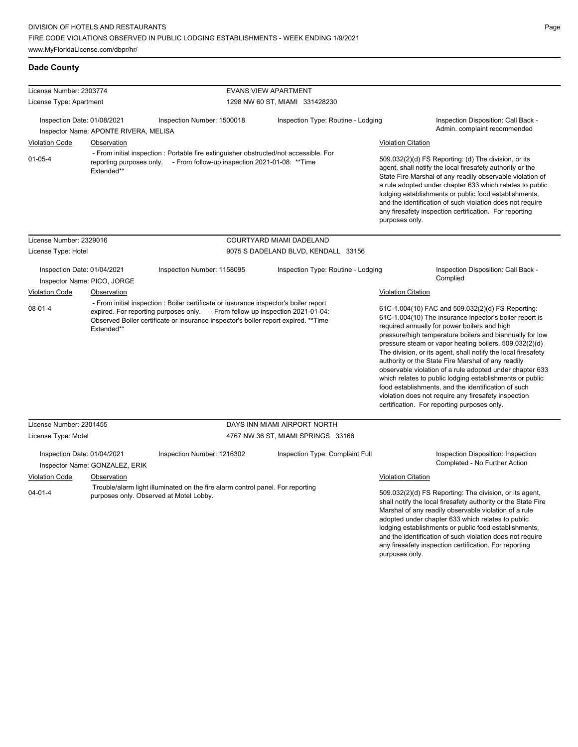| License Number: 2303774                                                                                                       |                                                                                                |                                                                                                                                                                                                                                                                                             | <b>EVANS VIEW APARTMENT</b>                                           |                                                                                                                                                                                                                                                                                                                                                                                                                                                                                                                                                                                                                                                                                                                                                                                 |
|-------------------------------------------------------------------------------------------------------------------------------|------------------------------------------------------------------------------------------------|---------------------------------------------------------------------------------------------------------------------------------------------------------------------------------------------------------------------------------------------------------------------------------------------|-----------------------------------------------------------------------|---------------------------------------------------------------------------------------------------------------------------------------------------------------------------------------------------------------------------------------------------------------------------------------------------------------------------------------------------------------------------------------------------------------------------------------------------------------------------------------------------------------------------------------------------------------------------------------------------------------------------------------------------------------------------------------------------------------------------------------------------------------------------------|
| License Type: Apartment                                                                                                       |                                                                                                |                                                                                                                                                                                                                                                                                             | 1298 NW 60 ST, MIAMI 331428230                                        |                                                                                                                                                                                                                                                                                                                                                                                                                                                                                                                                                                                                                                                                                                                                                                                 |
| Inspection Date: 01/08/2021<br><b>Violation Code</b><br>$01-05-4$                                                             | Inspector Name: APONTE RIVERA, MELISA<br>Observation<br>reporting purposes only.<br>Extended** | Inspection Number: 1500018<br>- From initial inspection : Portable fire extinguisher obstructed/not accessible. For<br>- From follow-up inspection 2021-01-08: **Time                                                                                                                       | Inspection Type: Routine - Lodging                                    | Inspection Disposition: Call Back -<br>Admin. complaint recommended<br><b>Violation Citation</b><br>509.032(2)(d) FS Reporting: (d) The division, or its<br>agent, shall notify the local firesafety authority or the<br>State Fire Marshal of any readily observable violation of<br>a rule adopted under chapter 633 which relates to public<br>lodging establishments or public food establishments,<br>and the identification of such violation does not require<br>any firesafety inspection certification. For reporting<br>purposes only.                                                                                                                                                                                                                                |
| License Number: 2329016                                                                                                       |                                                                                                |                                                                                                                                                                                                                                                                                             | COURTYARD MIAMI DADELAND                                              |                                                                                                                                                                                                                                                                                                                                                                                                                                                                                                                                                                                                                                                                                                                                                                                 |
| License Type: Hotel                                                                                                           |                                                                                                |                                                                                                                                                                                                                                                                                             | 9075 S DADELAND BLVD, KENDALL 33156                                   |                                                                                                                                                                                                                                                                                                                                                                                                                                                                                                                                                                                                                                                                                                                                                                                 |
| Inspection Date: 01/04/2021<br>Inspector Name: PICO, JORGE<br><b>Violation Code</b><br>Observation<br>$08-01-4$<br>Extended** |                                                                                                | Inspection Number: 1158095<br>- From initial inspection : Boiler certificate or insurance inspector's boiler report<br>expired. For reporting purposes only. - From follow-up inspection 2021-01-04:<br>Observed Boiler certificate or insurance inspector's boiler report expired. ** Time | Inspection Type: Routine - Lodging                                    | Inspection Disposition: Call Back -<br>Complied<br><b>Violation Citation</b><br>61C-1.004(10) FAC and 509.032(2)(d) FS Reporting:<br>61C-1.004(10) The insurance inpector's boiler report is<br>required annually for power boilers and high<br>pressure/high temperature boilers and biannually for low<br>pressure steam or vapor heating boilers. 509.032(2)(d)<br>The division, or its agent, shall notify the local firesafety<br>authority or the State Fire Marshal of any readily<br>observable violation of a rule adopted under chapter 633<br>which relates to public lodging establishments or public<br>food establishments, and the identification of such<br>violation does not require any firesafety inspection<br>certification. For reporting purposes only. |
| License Number: 2301455                                                                                                       |                                                                                                |                                                                                                                                                                                                                                                                                             | DAYS INN MIAMI AIRPORT NORTH                                          |                                                                                                                                                                                                                                                                                                                                                                                                                                                                                                                                                                                                                                                                                                                                                                                 |
| License Type: Motel<br>Inspection Date: 01/04/2021<br><b>Violation Code</b><br>$04 - 01 - 4$                                  | Inspector Name: GONZALEZ, ERIK<br>Observation                                                  | Inspection Number: 1216302<br>Trouble/alarm light illuminated on the fire alarm control panel. For reporting<br>purposes only. Observed at Motel Lobby.                                                                                                                                     | 4767 NW 36 ST, MIAMI SPRINGS 33166<br>Inspection Type: Complaint Full | Inspection Disposition: Inspection<br>Completed - No Further Action<br><b>Violation Citation</b><br>509.032(2)(d) FS Reporting: The division, or its agent,<br>shall notify the local firesafety authority or the State Fire<br>Marshal of any readily observable violation of a rule<br>adopted under chapter 633 which relates to public<br>lodging establishments or public food establishments,<br>and the identification of such violation does not require                                                                                                                                                                                                                                                                                                                |

any firesafety inspection certification. For reporting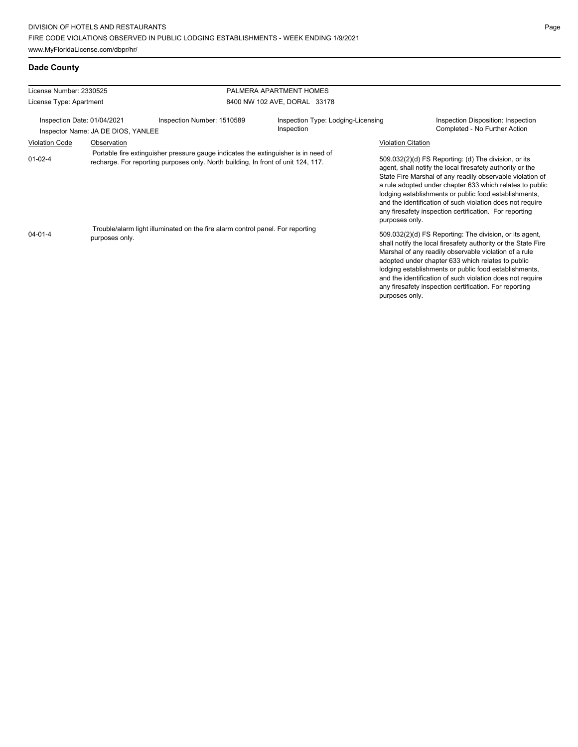| License Number: 2330525     |                                    |                                                                                                                                                                                                                                                           | PALMERA APARTMENT HOMES                          |                           |                                                                                                                                                                                                                                                                                                                                                                                                                            |
|-----------------------------|------------------------------------|-----------------------------------------------------------------------------------------------------------------------------------------------------------------------------------------------------------------------------------------------------------|--------------------------------------------------|---------------------------|----------------------------------------------------------------------------------------------------------------------------------------------------------------------------------------------------------------------------------------------------------------------------------------------------------------------------------------------------------------------------------------------------------------------------|
| License Type: Apartment     |                                    |                                                                                                                                                                                                                                                           | 8400 NW 102 AVE, DORAL 33178                     |                           |                                                                                                                                                                                                                                                                                                                                                                                                                            |
| Inspection Date: 01/04/2021 | Inspector Name: JA DE DIOS, YANLEE | Inspection Number: 1510589                                                                                                                                                                                                                                | Inspection Type: Lodging-Licensing<br>Inspection |                           | Inspection Disposition: Inspection<br>Completed - No Further Action                                                                                                                                                                                                                                                                                                                                                        |
| <b>Violation Code</b>       | Observation                        |                                                                                                                                                                                                                                                           |                                                  | <b>Violation Citation</b> |                                                                                                                                                                                                                                                                                                                                                                                                                            |
| $01 - 02 - 4$               |                                    | Portable fire extinguisher pressure gauge indicates the extinguisher is in need of<br>recharge. For reporting purposes only. North building, In front of unit 124, 117.<br>Trouble/alarm light illuminated on the fire alarm control panel. For reporting |                                                  | purposes only.            | 509.032(2)(d) FS Reporting: (d) The division, or its<br>agent, shall notify the local firesafety authority or the<br>State Fire Marshal of any readily observable violation of<br>a rule adopted under chapter 633 which relates to public<br>lodging establishments or public food establishments,<br>and the identification of such violation does not require<br>any firesafety inspection certification. For reporting |
| $04 - 01 - 4$               | purposes only.                     |                                                                                                                                                                                                                                                           |                                                  | purposes only.            | 509.032(2)(d) FS Reporting: The division, or its agent,<br>shall notify the local firesafety authority or the State Fire<br>Marshal of any readily observable violation of a rule<br>adopted under chapter 633 which relates to public<br>lodging establishments or public food establishments,<br>and the identification of such violation does not require<br>any firesafety inspection certification. For reporting     |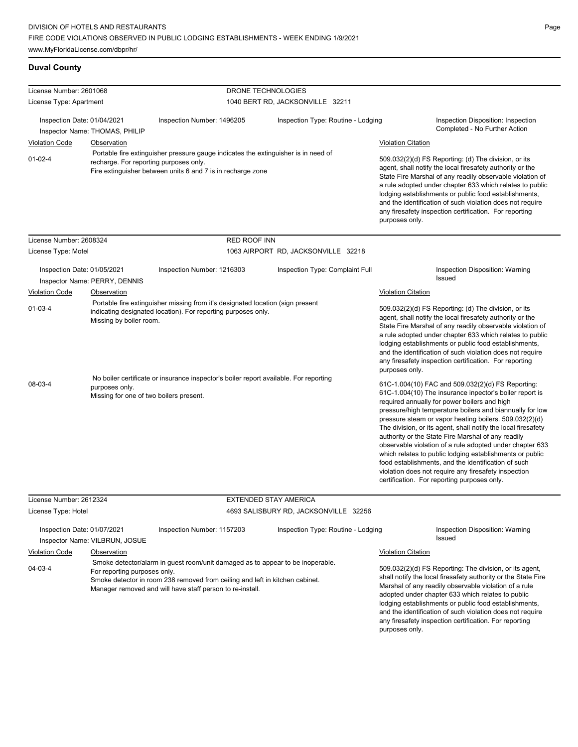### **Duval County**

| License Number: 2601068     |                                                           | DRONE TECHNOLOGIES                                                                                                                                                                                                          |                                       |                                                                                                                                                                                                                                                                                                                                                                                                                                                                                                                                                                                                                                                                                                 |
|-----------------------------|-----------------------------------------------------------|-----------------------------------------------------------------------------------------------------------------------------------------------------------------------------------------------------------------------------|---------------------------------------|-------------------------------------------------------------------------------------------------------------------------------------------------------------------------------------------------------------------------------------------------------------------------------------------------------------------------------------------------------------------------------------------------------------------------------------------------------------------------------------------------------------------------------------------------------------------------------------------------------------------------------------------------------------------------------------------------|
| License Type: Apartment     |                                                           |                                                                                                                                                                                                                             | 1040 BERT RD, JACKSONVILLE 32211      |                                                                                                                                                                                                                                                                                                                                                                                                                                                                                                                                                                                                                                                                                                 |
| Inspection Date: 01/04/2021 | Inspector Name: THOMAS, PHILIP                            | Inspection Number: 1496205                                                                                                                                                                                                  | Inspection Type: Routine - Lodging    | Inspection Disposition: Inspection<br>Completed - No Further Action                                                                                                                                                                                                                                                                                                                                                                                                                                                                                                                                                                                                                             |
| <b>Violation Code</b>       | Observation                                               |                                                                                                                                                                                                                             |                                       | <b>Violation Citation</b>                                                                                                                                                                                                                                                                                                                                                                                                                                                                                                                                                                                                                                                                       |
| $01-02-4$                   | recharge. For reporting purposes only.                    | Portable fire extinguisher pressure gauge indicates the extinguisher is in need of<br>Fire extinguisher between units 6 and 7 is in recharge zone                                                                           |                                       | 509.032(2)(d) FS Reporting: (d) The division, or its<br>agent, shall notify the local firesafety authority or the<br>State Fire Marshal of any readily observable violation of<br>a rule adopted under chapter 633 which relates to public<br>lodging establishments or public food establishments,<br>and the identification of such violation does not require<br>any firesafety inspection certification. For reporting<br>purposes only.                                                                                                                                                                                                                                                    |
| License Number: 2608324     |                                                           | RED ROOF INN                                                                                                                                                                                                                |                                       |                                                                                                                                                                                                                                                                                                                                                                                                                                                                                                                                                                                                                                                                                                 |
| License Type: Motel         |                                                           |                                                                                                                                                                                                                             | 1063 AIRPORT RD, JACKSONVILLE 32218   |                                                                                                                                                                                                                                                                                                                                                                                                                                                                                                                                                                                                                                                                                                 |
| Inspection Date: 01/05/2021 | Inspector Name: PERRY, DENNIS                             | Inspection Number: 1216303                                                                                                                                                                                                  | Inspection Type: Complaint Full       | Inspection Disposition: Warning<br>Issued                                                                                                                                                                                                                                                                                                                                                                                                                                                                                                                                                                                                                                                       |
| <b>Violation Code</b>       | Observation                                               |                                                                                                                                                                                                                             |                                       | <b>Violation Citation</b>                                                                                                                                                                                                                                                                                                                                                                                                                                                                                                                                                                                                                                                                       |
| $01-03-4$                   | Missing by boiler room.                                   | Portable fire extinguisher missing from it's designated location (sign present<br>indicating designated location). For reporting purposes only.                                                                             |                                       | 509.032(2)(d) FS Reporting: (d) The division, or its<br>agent, shall notify the local firesafety authority or the<br>State Fire Marshal of any readily observable violation of<br>a rule adopted under chapter 633 which relates to public<br>lodging establishments or public food establishments,<br>and the identification of such violation does not require<br>any firesafety inspection certification. For reporting<br>purposes only.                                                                                                                                                                                                                                                    |
| 08-03-4                     | purposes only.<br>Missing for one of two boilers present. | No boiler certificate or insurance inspector's boiler report available. For reporting                                                                                                                                       |                                       | 61C-1.004(10) FAC and 509.032(2)(d) FS Reporting:<br>61C-1.004(10) The insurance inpector's boiler report is<br>required annually for power boilers and high<br>pressure/high temperature boilers and biannually for low<br>pressure steam or vapor heating boilers. 509.032(2)(d)<br>The division, or its agent, shall notify the local firesafety<br>authority or the State Fire Marshal of any readily<br>observable violation of a rule adopted under chapter 633<br>which relates to public lodging establishments or public<br>food establishments, and the identification of such<br>violation does not require any firesafety inspection<br>certification. For reporting purposes only. |
| License Number: 2612324     |                                                           |                                                                                                                                                                                                                             | <b>EXTENDED STAY AMERICA</b>          |                                                                                                                                                                                                                                                                                                                                                                                                                                                                                                                                                                                                                                                                                                 |
| License Type: Hotel         |                                                           |                                                                                                                                                                                                                             | 4693 SALISBURY RD, JACKSONVILLE 32256 |                                                                                                                                                                                                                                                                                                                                                                                                                                                                                                                                                                                                                                                                                                 |
| Inspection Date: 01/07/2021 | Inspector Name: VILBRUN, JOSUE                            | Inspection Number: 1157203                                                                                                                                                                                                  | Inspection Type: Routine - Lodging    | Inspection Disposition: Warning<br>Issued                                                                                                                                                                                                                                                                                                                                                                                                                                                                                                                                                                                                                                                       |
| <b>Violation Code</b>       | Observation                                               |                                                                                                                                                                                                                             |                                       | <b>Violation Citation</b>                                                                                                                                                                                                                                                                                                                                                                                                                                                                                                                                                                                                                                                                       |
| 04-03-4                     | For reporting purposes only.                              | Smoke detector/alarm in guest room/unit damaged as to appear to be inoperable.<br>Smoke detector in room 238 removed from ceiling and left in kitchen cabinet.<br>Manager removed and will have staff person to re-install. |                                       | 509.032(2)(d) FS Reporting: The division, or its agent,<br>shall notify the local firesafety authority or the State Fire<br>Marshal of any readily observable violation of a rule<br>adopted under chapter 633 which relates to public<br>lodging establishments or public food establishments,<br>and the identification of such violation does not require                                                                                                                                                                                                                                                                                                                                    |

any firesafety inspection certification. For reporting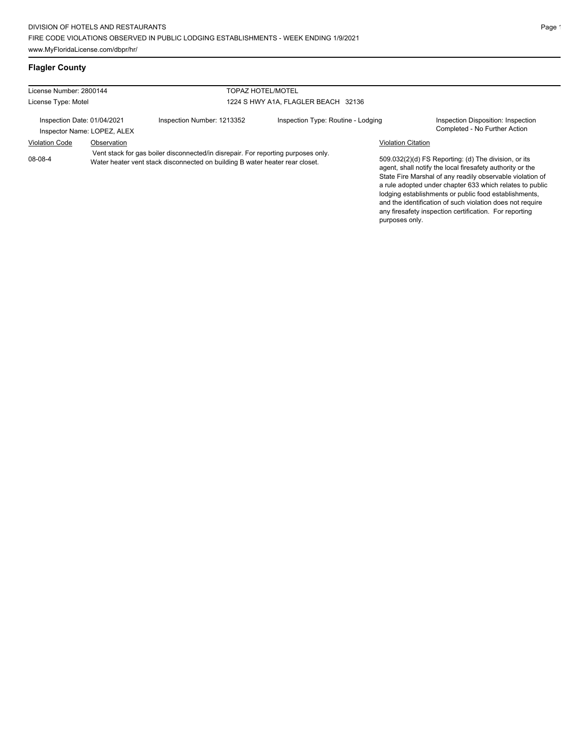### **Flagler County**

| License Number: 2800144<br><b>TOPAZ HOTEL/MOTEL</b>        |                                                                                                                                                                   |                            |                                    |                           |                                                                                                                                                                                                                                                                                                    |
|------------------------------------------------------------|-------------------------------------------------------------------------------------------------------------------------------------------------------------------|----------------------------|------------------------------------|---------------------------|----------------------------------------------------------------------------------------------------------------------------------------------------------------------------------------------------------------------------------------------------------------------------------------------------|
| 1224 S HWY A1A, FLAGLER BEACH 32136<br>License Type: Motel |                                                                                                                                                                   |                            |                                    |                           |                                                                                                                                                                                                                                                                                                    |
|                                                            | Inspection Date: 01/04/2021<br>Inspector Name: LOPEZ, ALEX                                                                                                        | Inspection Number: 1213352 | Inspection Type: Routine - Lodging |                           | Inspection Disposition: Inspection<br>Completed - No Further Action                                                                                                                                                                                                                                |
| <b>Violation Code</b>                                      | Observation                                                                                                                                                       |                            |                                    | <b>Violation Citation</b> |                                                                                                                                                                                                                                                                                                    |
| 08-08-4                                                    | Vent stack for gas boiler disconnected/in disrepair. For reporting purposes only.<br>Water heater vent stack disconnected on building B water heater rear closet. |                            |                                    |                           | 509.032(2)(d) FS Reporting: (d) The division, or its<br>agent, shall notify the local firesafety authority or the<br>State Fire Marshal of any readily observable violation of<br>a rule adopted under chapter 633 which relates to public<br>Indaina establishments or public food establishments |

lodging establishments or public food establishments, and the identification of such violation does not require any firesafety inspection certification. For reporting purposes only.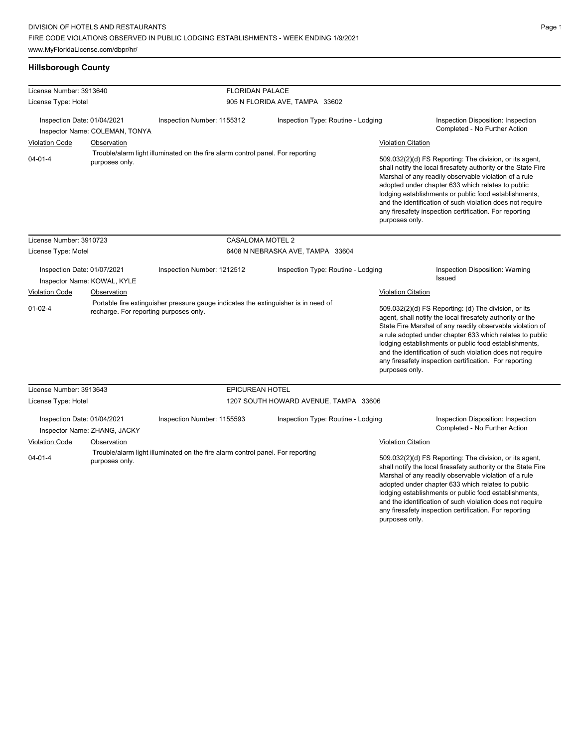### **Hillsborough County**

| License Number: 3913640     |                                        | <b>FLORIDAN PALACE</b>                                                             |                                       |                           |                                                                                                                                                                                                                                                                                                                                                                                                                            |
|-----------------------------|----------------------------------------|------------------------------------------------------------------------------------|---------------------------------------|---------------------------|----------------------------------------------------------------------------------------------------------------------------------------------------------------------------------------------------------------------------------------------------------------------------------------------------------------------------------------------------------------------------------------------------------------------------|
| License Type: Hotel         |                                        |                                                                                    | 905 N FLORIDA AVE, TAMPA 33602        |                           |                                                                                                                                                                                                                                                                                                                                                                                                                            |
| Inspection Date: 01/04/2021 | Inspector Name: COLEMAN, TONYA         | Inspection Number: 1155312                                                         | Inspection Type: Routine - Lodging    |                           | Inspection Disposition: Inspection<br>Completed - No Further Action                                                                                                                                                                                                                                                                                                                                                        |
| <b>Violation Code</b>       | Observation                            |                                                                                    |                                       | <b>Violation Citation</b> |                                                                                                                                                                                                                                                                                                                                                                                                                            |
| $04 - 01 - 4$               | purposes only.                         | Trouble/alarm light illuminated on the fire alarm control panel. For reporting     |                                       | purposes only.            | 509.032(2)(d) FS Reporting: The division, or its agent,<br>shall notify the local firesafety authority or the State Fire<br>Marshal of any readily observable violation of a rule<br>adopted under chapter 633 which relates to public<br>lodging establishments or public food establishments,<br>and the identification of such violation does not require<br>any firesafety inspection certification. For reporting     |
| License Number: 3910723     |                                        | CASALOMA MOTEL 2                                                                   |                                       |                           |                                                                                                                                                                                                                                                                                                                                                                                                                            |
| License Type: Motel         |                                        |                                                                                    | 6408 N NEBRASKA AVE, TAMPA 33604      |                           |                                                                                                                                                                                                                                                                                                                                                                                                                            |
| Inspection Date: 01/07/2021 | Inspector Name: KOWAL, KYLE            | Inspection Number: 1212512                                                         | Inspection Type: Routine - Lodging    |                           | Inspection Disposition: Warning<br><b>Issued</b>                                                                                                                                                                                                                                                                                                                                                                           |
| <b>Violation Code</b>       | Observation                            |                                                                                    |                                       | <b>Violation Citation</b> |                                                                                                                                                                                                                                                                                                                                                                                                                            |
| $01 - 02 - 4$               | recharge. For reporting purposes only. | Portable fire extinguisher pressure gauge indicates the extinguisher is in need of |                                       | purposes only.            | 509.032(2)(d) FS Reporting: (d) The division, or its<br>agent, shall notify the local firesafety authority or the<br>State Fire Marshal of any readily observable violation of<br>a rule adopted under chapter 633 which relates to public<br>lodging establishments or public food establishments,<br>and the identification of such violation does not require<br>any firesafety inspection certification. For reporting |
| License Number: 3913643     |                                        | <b>EPICUREAN HOTEL</b>                                                             |                                       |                           |                                                                                                                                                                                                                                                                                                                                                                                                                            |
| License Type: Hotel         |                                        |                                                                                    | 1207 SOUTH HOWARD AVENUE, TAMPA 33606 |                           |                                                                                                                                                                                                                                                                                                                                                                                                                            |
| Inspection Date: 01/04/2021 | Inspector Name: ZHANG, JACKY           | Inspection Number: 1155593                                                         | Inspection Type: Routine - Lodging    |                           | Inspection Disposition: Inspection<br>Completed - No Further Action                                                                                                                                                                                                                                                                                                                                                        |
| <b>Violation Code</b>       | Observation                            |                                                                                    |                                       | <b>Violation Citation</b> |                                                                                                                                                                                                                                                                                                                                                                                                                            |
| $04 - 01 - 4$               | purposes only.                         | Trouble/alarm light illuminated on the fire alarm control panel. For reporting     |                                       | purposes only.            | 509.032(2)(d) FS Reporting: The division, or its agent,<br>shall notify the local firesafety authority or the State Fire<br>Marshal of any readily observable violation of a rule<br>adopted under chapter 633 which relates to public<br>lodging establishments or public food establishments,<br>and the identification of such violation does not require<br>any firesafety inspection certification. For reporting     |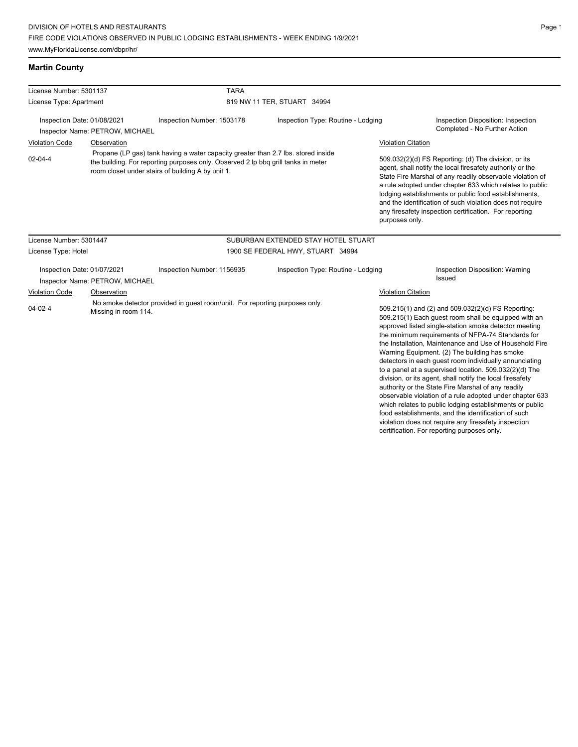www.MyFloridaLicense.com/dbpr/hr/

## **Martin County**

| License Number: 5301137 |                                                                | <b>TARA</b>                                                                                                                                                                                                                 |                                     |                           |                                                                                                                                                                                                                                                                                                                                                                                                                                                                                                                       |
|-------------------------|----------------------------------------------------------------|-----------------------------------------------------------------------------------------------------------------------------------------------------------------------------------------------------------------------------|-------------------------------------|---------------------------|-----------------------------------------------------------------------------------------------------------------------------------------------------------------------------------------------------------------------------------------------------------------------------------------------------------------------------------------------------------------------------------------------------------------------------------------------------------------------------------------------------------------------|
| License Type: Apartment |                                                                |                                                                                                                                                                                                                             | 819 NW 11 TER, STUART 34994         |                           |                                                                                                                                                                                                                                                                                                                                                                                                                                                                                                                       |
|                         | Inspection Date: 01/08/2021<br>Inspector Name: PETROW, MICHAEL | Inspection Number: 1503178                                                                                                                                                                                                  | Inspection Type: Routine - Lodging  |                           | Inspection Disposition: Inspection<br>Completed - No Further Action                                                                                                                                                                                                                                                                                                                                                                                                                                                   |
| <b>Violation Code</b>   | Observation                                                    |                                                                                                                                                                                                                             |                                     | <b>Violation Citation</b> |                                                                                                                                                                                                                                                                                                                                                                                                                                                                                                                       |
| $02 - 04 - 4$           |                                                                | Propane (LP gas) tank having a water capacity greater than 2.7 lbs. stored inside<br>the building. For reporting purposes only. Observed 2 lp bbq grill tanks in meter<br>room closet under stairs of building A by unit 1. |                                     | purposes only.            | 509.032(2)(d) FS Reporting: (d) The division, or its<br>agent, shall notify the local firesafety authority or the<br>State Fire Marshal of any readily observable violation of<br>a rule adopted under chapter 633 which relates to public<br>lodging establishments or public food establishments,<br>and the identification of such violation does not require<br>any firesafety inspection certification. For reporting                                                                                            |
| License Number: 5301447 |                                                                |                                                                                                                                                                                                                             | SUBURBAN EXTENDED STAY HOTEL STUART |                           |                                                                                                                                                                                                                                                                                                                                                                                                                                                                                                                       |
| License Type: Hotel     |                                                                |                                                                                                                                                                                                                             | 1900 SE FEDERAL HWY, STUART 34994   |                           |                                                                                                                                                                                                                                                                                                                                                                                                                                                                                                                       |
|                         | Inspection Date: 01/07/2021<br>Inspector Name: PETROW, MICHAEL | Inspection Number: 1156935                                                                                                                                                                                                  | Inspection Type: Routine - Lodging  |                           | Inspection Disposition: Warning<br><b>Issued</b>                                                                                                                                                                                                                                                                                                                                                                                                                                                                      |
| <b>Violation Code</b>   | Observation                                                    |                                                                                                                                                                                                                             |                                     | <b>Violation Citation</b> |                                                                                                                                                                                                                                                                                                                                                                                                                                                                                                                       |
| $04 - 02 - 4$           | Missing in room 114.                                           | No smoke detector provided in guest room/unit. For reporting purposes only.                                                                                                                                                 |                                     |                           | 509.215(1) and (2) and 509.032(2)(d) FS Reporting:<br>509.215(1) Each guest room shall be equipped with an<br>approved listed single-station smoke detector meeting<br>the minimum requirements of NFPA-74 Standards for<br>the Installation, Maintenance and Use of Household Fire<br>Warning Equipment. (2) The building has smoke<br>detectors in each guest room individually annunciating<br>to a panel at a supervised location. 509.032(2)(d) The<br>division, or its agent, shall notify the local firesafety |

Page 1

authority or the State Fire Marshal of any readily observable violation of a rule adopted under chapter 633 which relates to public lodging establishments or public food establishments, and the identification of such violation does not require any firesafety inspection certification. For reporting purposes only.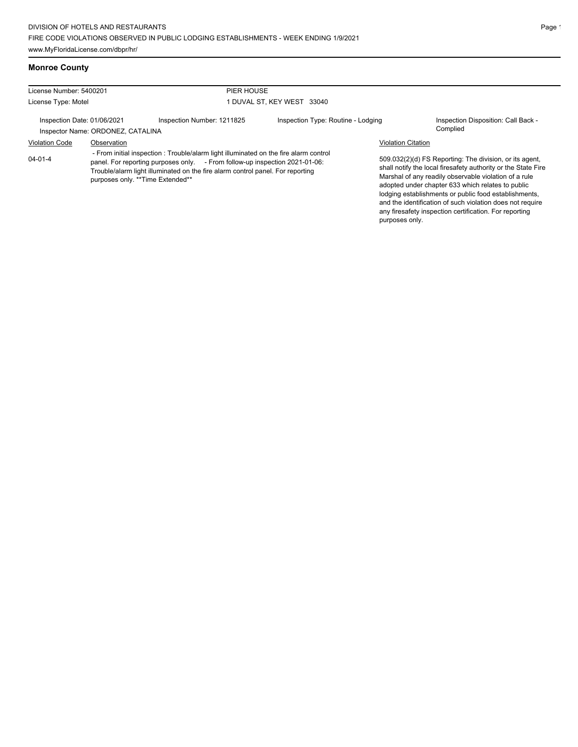### **Monroe County**

| License Number: 5400201<br>License Type: Motel<br>Inspection Date: 01/06/2021<br>Inspector Name: ORDONEZ, CATALINA |                                                                                                                                                                                                                                                                                            | PIER HOUSE<br>1 DUVAL ST, KEY WEST 33040 |                                    |                                                                                                                                                                                                                                                                                                                                                                                                                        |                                                 |  |
|--------------------------------------------------------------------------------------------------------------------|--------------------------------------------------------------------------------------------------------------------------------------------------------------------------------------------------------------------------------------------------------------------------------------------|------------------------------------------|------------------------------------|------------------------------------------------------------------------------------------------------------------------------------------------------------------------------------------------------------------------------------------------------------------------------------------------------------------------------------------------------------------------------------------------------------------------|-------------------------------------------------|--|
|                                                                                                                    |                                                                                                                                                                                                                                                                                            |                                          |                                    |                                                                                                                                                                                                                                                                                                                                                                                                                        |                                                 |  |
|                                                                                                                    |                                                                                                                                                                                                                                                                                            | Inspection Number: 1211825               | Inspection Type: Routine - Lodging |                                                                                                                                                                                                                                                                                                                                                                                                                        | Inspection Disposition: Call Back -<br>Complied |  |
| <b>Violation Code</b>                                                                                              | Observation                                                                                                                                                                                                                                                                                |                                          |                                    | <b>Violation Citation</b>                                                                                                                                                                                                                                                                                                                                                                                              |                                                 |  |
| $04 - 01 - 4$                                                                                                      | - From initial inspection: Trouble/alarm light illuminated on the fire alarm control<br>panel. For reporting purposes only. - From follow-up inspection 2021-01-06:<br>Trouble/alarm light illuminated on the fire alarm control panel. For reporting<br>purposes only. ** Time Extended** |                                          |                                    | 509.032(2)(d) FS Reporting: The division, or its agent,<br>shall notify the local firesafety authority or the State Fire<br>Marshal of any readily observable violation of a rule<br>adopted under chapter 633 which relates to public<br>lodging establishments or public food establishments,<br>and the identification of such violation does not require<br>any firesafety inspection certification. For reporting |                                                 |  |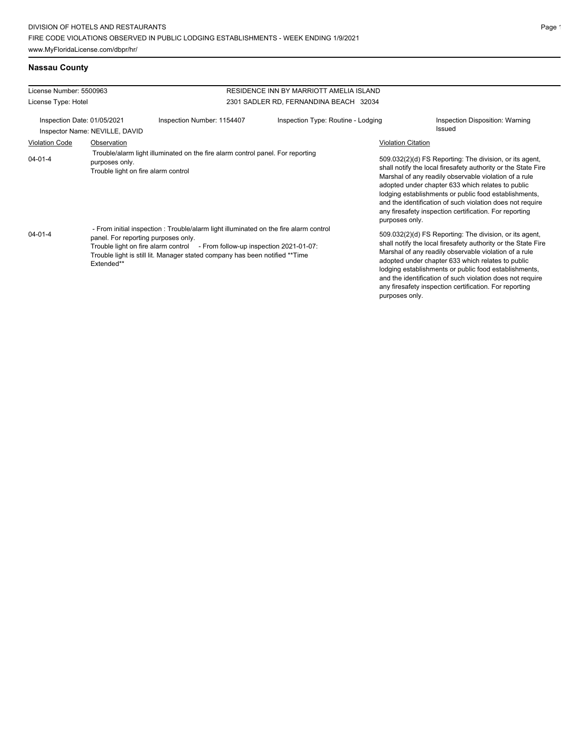### **Nassau County**

| License Number: 5500963<br>License Type: Hotel                |                                                                                                                                                                                                                                                                                                                                                                                                                                                    | RESIDENCE INN BY MARRIOTT AMELIA ISLAND |                                        |                                                                                                                                                                                                                                                                                                                                                                                                                                                                                                                                                                                                                                                                                                                                                                                                                                                                    |                                                  |
|---------------------------------------------------------------|----------------------------------------------------------------------------------------------------------------------------------------------------------------------------------------------------------------------------------------------------------------------------------------------------------------------------------------------------------------------------------------------------------------------------------------------------|-----------------------------------------|----------------------------------------|--------------------------------------------------------------------------------------------------------------------------------------------------------------------------------------------------------------------------------------------------------------------------------------------------------------------------------------------------------------------------------------------------------------------------------------------------------------------------------------------------------------------------------------------------------------------------------------------------------------------------------------------------------------------------------------------------------------------------------------------------------------------------------------------------------------------------------------------------------------------|--------------------------------------------------|
|                                                               |                                                                                                                                                                                                                                                                                                                                                                                                                                                    |                                         | 2301 SADLER RD, FERNANDINA BEACH 32034 |                                                                                                                                                                                                                                                                                                                                                                                                                                                                                                                                                                                                                                                                                                                                                                                                                                                                    |                                                  |
| Inspection Date: 01/05/2021<br>Inspector Name: NEVILLE, DAVID |                                                                                                                                                                                                                                                                                                                                                                                                                                                    | Inspection Number: 1154407              | Inspection Type: Routine - Lodging     |                                                                                                                                                                                                                                                                                                                                                                                                                                                                                                                                                                                                                                                                                                                                                                                                                                                                    | Inspection Disposition: Warning<br><b>Issued</b> |
| <b>Violation Code</b>                                         | Observation                                                                                                                                                                                                                                                                                                                                                                                                                                        |                                         |                                        | <b>Violation Citation</b>                                                                                                                                                                                                                                                                                                                                                                                                                                                                                                                                                                                                                                                                                                                                                                                                                                          |                                                  |
| $04 - 01 - 4$<br>$04 - 01 - 4$                                | Trouble/alarm light illuminated on the fire alarm control panel. For reporting<br>purposes only.<br>Trouble light on fire alarm control<br>- From initial inspection: Trouble/alarm light illuminated on the fire alarm control<br>panel. For reporting purposes only.<br>Trouble light on fire alarm control - From follow-up inspection 2021-01-07:<br>Trouble light is still lit. Manager stated company has been notified **Time<br>Extended** |                                         |                                        | 509.032(2)(d) FS Reporting: The division, or its agent,<br>shall notify the local firesafety authority or the State Fire<br>Marshal of any readily observable violation of a rule<br>adopted under chapter 633 which relates to public<br>lodging establishments or public food establishments,<br>and the identification of such violation does not require<br>any firesafety inspection certification. For reporting<br>purposes only.<br>509.032(2)(d) FS Reporting: The division, or its agent,<br>shall notify the local firesafety authority or the State Fire<br>Marshal of any readily observable violation of a rule<br>adopted under chapter 633 which relates to public<br>lodging establishments or public food establishments,<br>and the identification of such violation does not require<br>any firesafety inspection certification. For reporting |                                                  |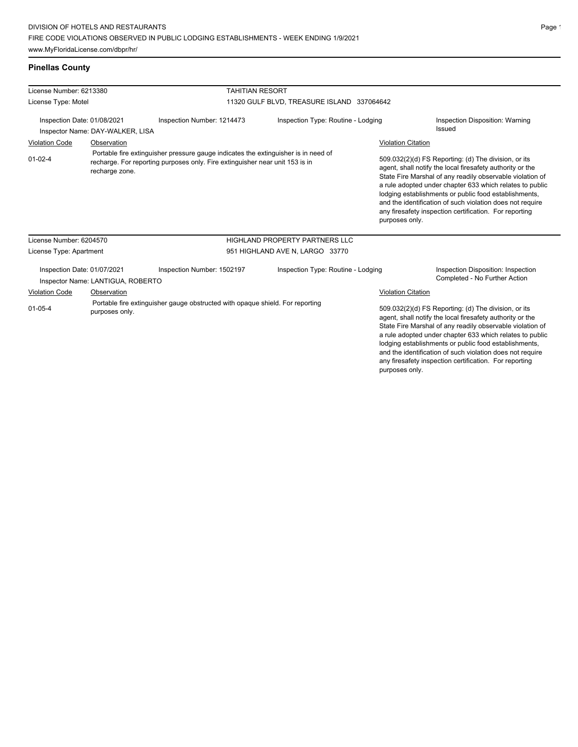# www.MyFloridaLicense.com/dbpr/hr/

### **Pinellas County**

| License Number: 6213380                                          |                                                                                                                                                                                      |                                                                               | <b>TAHITIAN RESORT</b>                |                           |                                                                                                                                                                                                                                                                                                                                                                                                                                              |  |  |
|------------------------------------------------------------------|--------------------------------------------------------------------------------------------------------------------------------------------------------------------------------------|-------------------------------------------------------------------------------|---------------------------------------|---------------------------|----------------------------------------------------------------------------------------------------------------------------------------------------------------------------------------------------------------------------------------------------------------------------------------------------------------------------------------------------------------------------------------------------------------------------------------------|--|--|
| License Type: Motel                                              |                                                                                                                                                                                      | 11320 GULF BLVD, TREASURE ISLAND 337064642                                    |                                       |                           |                                                                                                                                                                                                                                                                                                                                                                                                                                              |  |  |
| Inspection Date: 01/08/2021<br>Inspector Name: DAY-WALKER, LISA  |                                                                                                                                                                                      | Inspection Number: 1214473                                                    | Inspection Type: Routine - Lodging    |                           | Inspection Disposition: Warning<br>Issued                                                                                                                                                                                                                                                                                                                                                                                                    |  |  |
| Observation<br><b>Violation Code</b>                             |                                                                                                                                                                                      |                                                                               |                                       | <b>Violation Citation</b> |                                                                                                                                                                                                                                                                                                                                                                                                                                              |  |  |
| $01 - 02 - 4$                                                    | Portable fire extinguisher pressure gauge indicates the extinguisher is in need of<br>recharge. For reporting purposes only. Fire extinguisher near unit 153 is in<br>recharge zone. |                                                                               |                                       |                           | 509.032(2)(d) FS Reporting: (d) The division, or its<br>agent, shall notify the local firesafety authority or the<br>State Fire Marshal of any readily observable violation of<br>a rule adopted under chapter 633 which relates to public<br>lodging establishments or public food establishments,<br>and the identification of such violation does not require<br>any firesafety inspection certification. For reporting<br>purposes only. |  |  |
| License Number: 6204570                                          |                                                                                                                                                                                      |                                                                               | <b>HIGHLAND PROPERTY PARTNERS LLC</b> |                           |                                                                                                                                                                                                                                                                                                                                                                                                                                              |  |  |
| License Type: Apartment                                          |                                                                                                                                                                                      |                                                                               | 951 HIGHLAND AVE N, LARGO 33770       |                           |                                                                                                                                                                                                                                                                                                                                                                                                                                              |  |  |
| Inspection Date: 01/07/2021<br>Inspector Name: LANTIGUA, ROBERTO |                                                                                                                                                                                      | Inspection Number: 1502197                                                    | Inspection Type: Routine - Lodging    |                           | Inspection Disposition: Inspection<br>Completed - No Further Action                                                                                                                                                                                                                                                                                                                                                                          |  |  |
| <b>Violation Code</b>                                            | Observation                                                                                                                                                                          |                                                                               | <b>Violation Citation</b>             |                           |                                                                                                                                                                                                                                                                                                                                                                                                                                              |  |  |
| $01 - 05 - 4$<br>purposes only.                                  |                                                                                                                                                                                      | Portable fire extinguisher gauge obstructed with opaque shield. For reporting |                                       |                           | 509.032(2)(d) FS Reporting: (d) The division, or its<br>agent, shall notify the local firesafety authority or the<br>State Fire Marshal of any readily observable violation of<br>a rule adopted under chapter 633 which relates to public<br>lodging establishments or public food establishments,<br>and the identification of such violation does not require                                                                             |  |  |

any firesafety inspection certification. For reporting